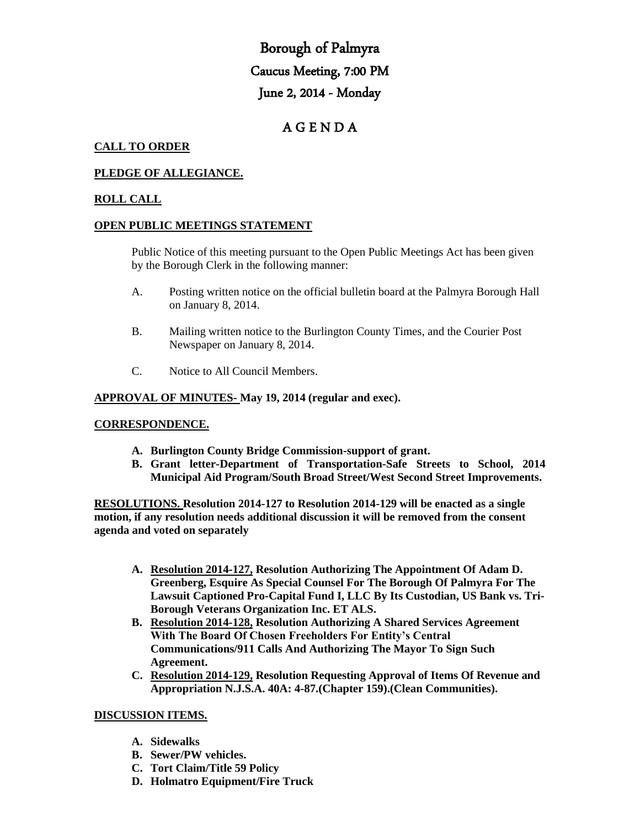# Borough of Palmyra Caucus Meeting, 7:00 PM June 2, 2014 - Monday

# A G E N D A

# **CALL TO ORDER**

# **PLEDGE OF ALLEGIANCE.**

#### **ROLL CALL**

#### **OPEN PUBLIC MEETINGS STATEMENT**

Public Notice of this meeting pursuant to the Open Public Meetings Act has been given by the Borough Clerk in the following manner:

- A. Posting written notice on the official bulletin board at the Palmyra Borough Hall on January 8, 2014.
- B. Mailing written notice to the Burlington County Times, and the Courier Post Newspaper on January 8, 2014.
- C. Notice to All Council Members.

#### **APPROVAL OF MINUTES- May 19, 2014 (regular and exec).**

#### **CORRESPONDENCE.**

- **A. Burlington County Bridge Commission-support of grant.**
- **B. Grant letter-Department of Transportation-Safe Streets to School, 2014 Municipal Aid Program/South Broad Street/West Second Street Improvements.**

**RESOLUTIONS. Resolution 2014-127 to Resolution 2014-129 will be enacted as a single motion, if any resolution needs additional discussion it will be removed from the consent agenda and voted on separately**

- **A. Resolution 2014-127, Resolution Authorizing The Appointment Of Adam D. Greenberg, Esquire As Special Counsel For The Borough Of Palmyra For The Lawsuit Captioned Pro-Capital Fund I, LLC By Its Custodian, US Bank vs. Tri-Borough Veterans Organization Inc. ET ALS.**
- **B. Resolution 2014-128, Resolution Authorizing A Shared Services Agreement With The Board Of Chosen Freeholders For Entity's Central Communications/911 Calls And Authorizing The Mayor To Sign Such Agreement.**
- **C. Resolution 2014-129, Resolution Requesting Approval of Items Of Revenue and Appropriation N.J.S.A. 40A: 4-87.(Chapter 159).(Clean Communities).**

#### **DISCUSSION ITEMS.**

- **A. Sidewalks**
- **B. Sewer/PW vehicles.**
- **C. Tort Claim/Title 59 Policy**
- **D. Holmatro Equipment/Fire Truck**